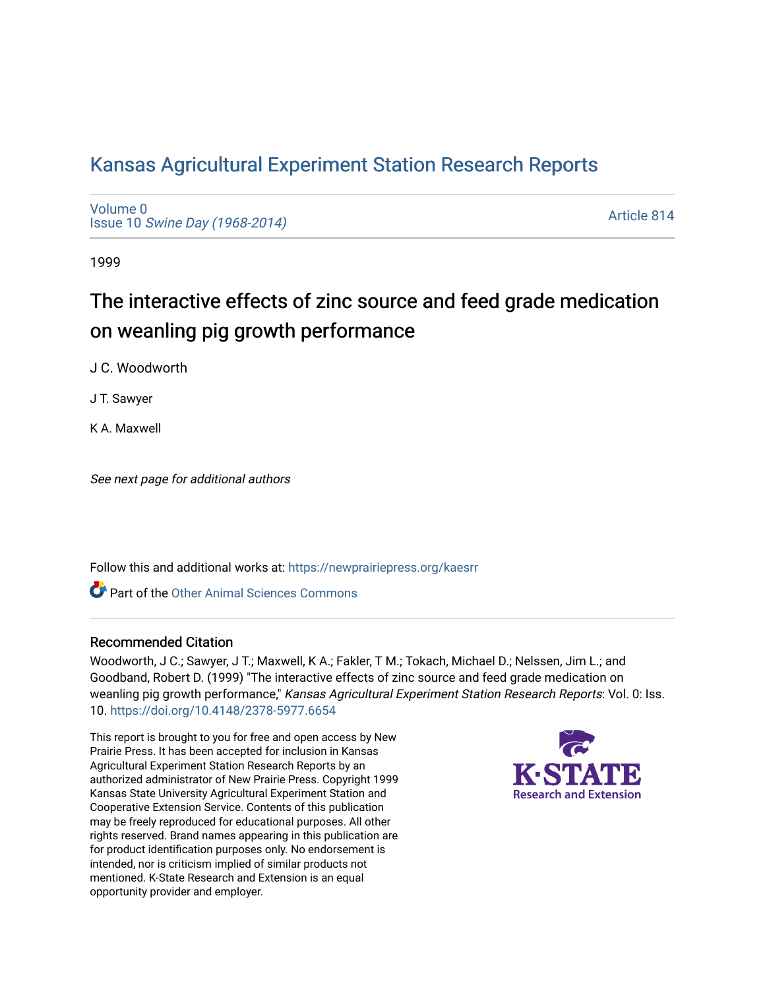# [Kansas Agricultural Experiment Station Research Reports](https://newprairiepress.org/kaesrr)

[Volume 0](https://newprairiepress.org/kaesrr/vol0) Issue 10 [Swine Day \(1968-2014\)](https://newprairiepress.org/kaesrr/vol0/iss10)

[Article 814](https://newprairiepress.org/kaesrr/vol0/iss10/814) 

1999

# The interactive effects of zinc source and feed grade medication on weanling pig growth performance

J C. Woodworth

J T. Sawyer

K A. Maxwell

See next page for additional authors

Follow this and additional works at: [https://newprairiepress.org/kaesrr](https://newprairiepress.org/kaesrr?utm_source=newprairiepress.org%2Fkaesrr%2Fvol0%2Fiss10%2F814&utm_medium=PDF&utm_campaign=PDFCoverPages) 

**C** Part of the [Other Animal Sciences Commons](http://network.bepress.com/hgg/discipline/82?utm_source=newprairiepress.org%2Fkaesrr%2Fvol0%2Fiss10%2F814&utm_medium=PDF&utm_campaign=PDFCoverPages)

#### Recommended Citation

Woodworth, J C.; Sawyer, J T.; Maxwell, K A.; Fakler, T M.; Tokach, Michael D.; Nelssen, Jim L.; and Goodband, Robert D. (1999) "The interactive effects of zinc source and feed grade medication on weanling pig growth performance," Kansas Agricultural Experiment Station Research Reports: Vol. 0: Iss. 10.<https://doi.org/10.4148/2378-5977.6654>

This report is brought to you for free and open access by New Prairie Press. It has been accepted for inclusion in Kansas Agricultural Experiment Station Research Reports by an authorized administrator of New Prairie Press. Copyright 1999 Kansas State University Agricultural Experiment Station and Cooperative Extension Service. Contents of this publication may be freely reproduced for educational purposes. All other rights reserved. Brand names appearing in this publication are for product identification purposes only. No endorsement is intended, nor is criticism implied of similar products not mentioned. K-State Research and Extension is an equal opportunity provider and employer.

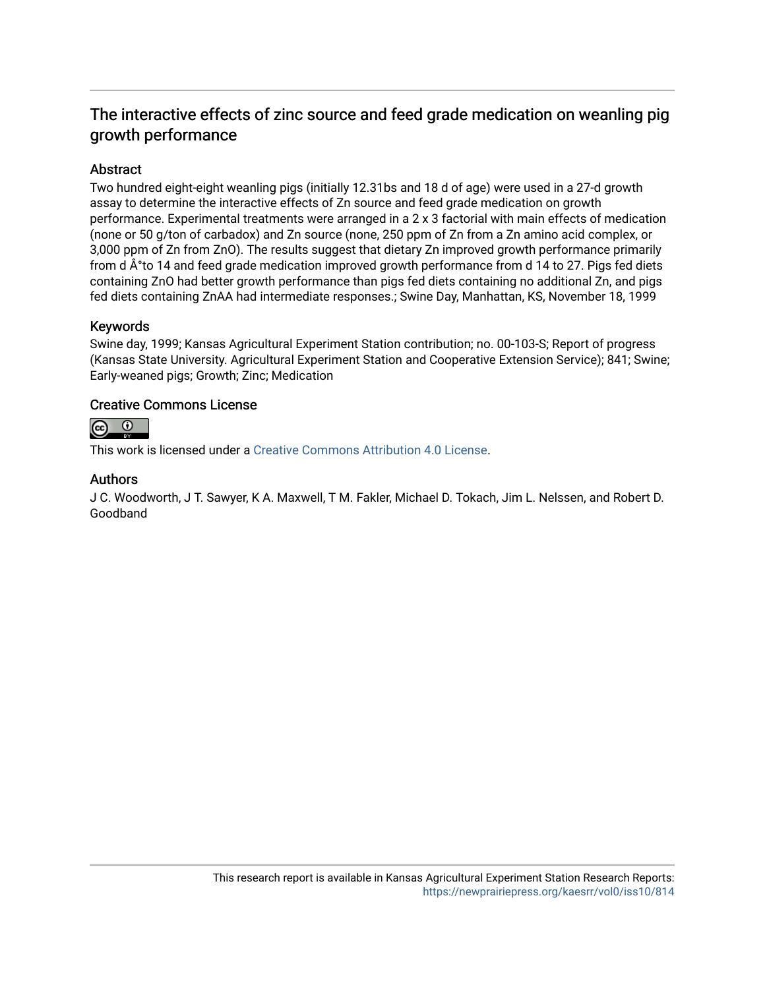## The interactive effects of zinc source and feed grade medication on weanling pig growth performance

### Abstract

Two hundred eight-eight weanling pigs (initially 12.31bs and 18 d of age) were used in a 27-d growth assay to determine the interactive effects of Zn source and feed grade medication on growth performance. Experimental treatments were arranged in a 2 x 3 factorial with main effects of medication (none or 50 g/ton of carbadox) and Zn source (none, 250 ppm of Zn from a Zn amino acid complex, or 3,000 ppm of Zn from ZnO). The results suggest that dietary Zn improved growth performance primarily from d $\hat{A}^{\circ}$  to 14 and feed grade medication improved growth performance from d 14 to 27. Pigs fed diets containing ZnO had better growth performance than pigs fed diets containing no additional Zn, and pigs fed diets containing ZnAA had intermediate responses.; Swine Day, Manhattan, KS, November 18, 1999

#### Keywords

Swine day, 1999; Kansas Agricultural Experiment Station contribution; no. 00-103-S; Report of progress (Kansas State University. Agricultural Experiment Station and Cooperative Extension Service); 841; Swine; Early-weaned pigs; Growth; Zinc; Medication

#### Creative Commons License



This work is licensed under a [Creative Commons Attribution 4.0 License](https://creativecommons.org/licenses/by/4.0/).

#### Authors

J C. Woodworth, J T. Sawyer, K A. Maxwell, T M. Fakler, Michael D. Tokach, Jim L. Nelssen, and Robert D. Goodband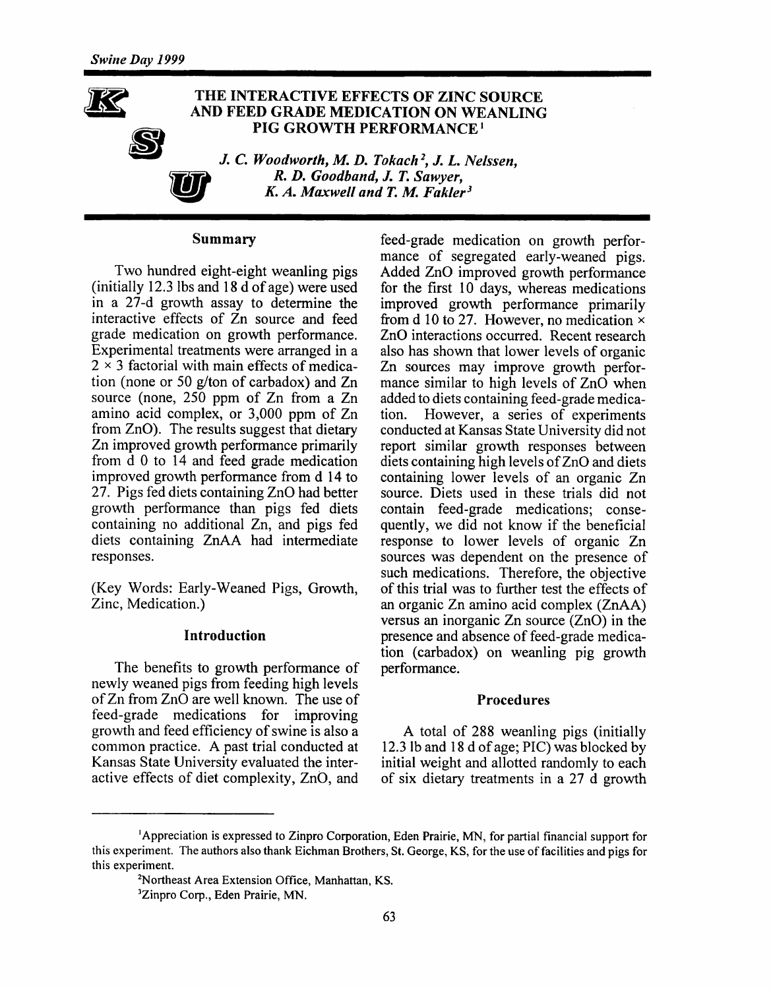## THE INTERACTIVE EFFECTS OF ZINC SOURCE AND FEED GRADE MEDICATION ON WEANLING PIG GROWTH PERFORMANCE<sup>1</sup>

J. C. Woodworth, M. D. Tokach<sup>2</sup>, J. L. Nelssen. R. D. Goodband, J. T. Sawyer, K. A. Maxwell and T. M. Fakler<sup>3</sup>

#### **Summary**

Two hundred eight-eight weanling pigs (initially 12.3 lbs and 18 d of age) were used in a  $27-d$  growth assay to determine the interactive effects of Zn source and feed grade medication on growth performance. Experimental treatments were arranged in a  $2 \times 3$  factorial with main effects of medication (none or 50 g/ton of carbadox) and Zn source (none, 250 ppm of Zn from a Zn amino acid complex, or 3,000 ppm of Zn from ZnO). The results suggest that dietary Zn improved growth performance primarily from d 0 to 14 and feed grade medication improved growth performance from d 14 to 27. Pigs fed diets containing ZnO had better growth performance than pigs fed diets containing no additional Zn, and pigs fed diets containing ZnAA had intermediate responses.

(Key Words: Early-Weaned Pigs, Growth, Zinc, Medication.)

#### **Introduction**

The benefits to growth performance of newly weaned pigs from feeding high levels of Zn from ZnO are well known. The use of feed-grade medications for improving growth and feed efficiency of swine is also a common practice. A past trial conducted at Kansas State University evaluated the interactive effects of diet complexity, ZnO, and

feed-grade medication on growth performance of segregated early-weaned pigs. Added ZnO improved growth performance for the first 10 days, whereas medications improved growth performance primarily from d 10 to 27. However, no medication  $\times$ ZnO interactions occurred. Recent research also has shown that lower levels of organic Zn sources may improve growth performance similar to high levels of ZnO when added to diets containing feed-grade medication. However, a series of experiments conducted at Kansas State University did not report similar growth responses between diets containing high levels of ZnO and diets containing lower levels of an organic Zn source. Diets used in these trials did not contain feed-grade medications; consequently, we did not know if the beneficial response to lower levels of organic Zn sources was dependent on the presence of such medications. Therefore, the objective of this trial was to further test the effects of an organic Zn amino acid complex (ZnAA) versus an inorganic Zn source (ZnO) in the presence and absence of feed-grade medication (carbadox) on weanling pig growth performance.

#### **Procedures**

A total of 288 weanling pigs (initially 12.3 lb and 18 d of age; PIC) was blocked by initial weight and allotted randomly to each of six dietary treatments in a 27 d growth

<sup>&</sup>lt;sup>1</sup>Appreciation is expressed to Zinpro Corporation, Eden Prairie, MN, for partial financial support for this experiment. The authors also thank Eichman Brothers, St. George, KS, for the use of facilities and pigs for this experiment.

<sup>&</sup>lt;sup>2</sup>Northeast Area Extension Office, Manhattan, KS.

<sup>&</sup>lt;sup>3</sup>Zinpro Corp., Eden Prairie, MN.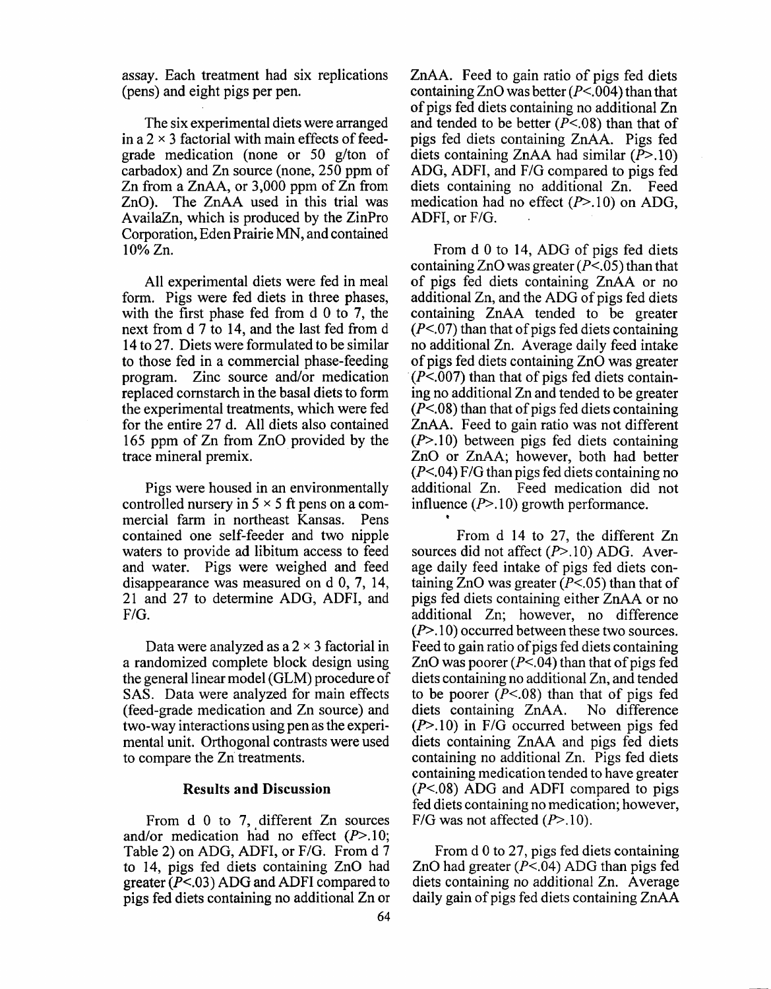assay. Each treatment had six replications (pens) and eight pigs per pen.

The six experimental diets were arranged in a  $2 \times 3$  factorial with main effects of feedgrade medication (none or 50 g/ton of carbadox) and Zn source (none, 250 ppm of Zn from a ZnAA, or 3,000 ppm of Zn from ZnO). The ZnAA used in this trial was AvailaZn, which is produced by the ZinPro Corporation, Eden Prairie MN, and contained  $10\%$  Zn.

All experimental diets were fed in meal form. Pigs were fed diets in three phases, with the first phase fed from  $d \theta$  to 7, the next from d 7 to 14, and the last fed from d 14 to 27. Diets were formulated to be similar to those fed in a commercial phase-feeding program. Zinc source and/or medication replaced cornstarch in the basal diets to form the experimental treatments, which were fed for the entire 27 d. All diets also contained 165 ppm of Zn from ZnO provided by the trace mineral premix.

Pigs were housed in an environmentally controlled nursery in  $5 \times 5$  ft pens on a commercial farm in northeast Kansas. Pens contained one self-feeder and two nipple waters to provide ad libitum access to feed and water. Pigs were weighed and feed disappearance was measured on  $d$  0, 7, 14, 21 and 27 to determine ADG, ADFI, and  $F/G.$ 

Data were analyzed as a  $2 \times 3$  factorial in a randomized complete block design using the general linear model (GLM) procedure of SAS. Data were analyzed for main effects (feed-grade medication and Zn source) and two-way interactions using pen as the experimental unit. Orthogonal contrasts were used to compare the Zn treatments.

#### **Results and Discussion**

From d 0 to 7, different Zn sources and/or medication had no effect  $(P>10)$ ; Table 2) on ADG, ADFI, or F/G. From d 7 to 14, pigs fed diets containing ZnO had greater  $(P<.03)$  ADG and ADFI compared to pigs fed diets containing no additional Zn or ZnAA. Feed to gain ratio of pigs fed diets containing ZnO was better  $(P<.004)$  than that of pigs fed diets containing no additional Zn and tended to be better  $(P<.08)$  than that of pigs fed diets containing ZnAA. Pigs fed diets containing ZnAA had similar  $(\overline{P} > .10)$ ADG, ADFI, and F/G compared to pigs fed diets containing no additional Zn. Feed medication had no effect  $(P>10)$  on ADG, ADFI, or F/G.

From d 0 to 14, ADG of pigs fed diets containing ZnO was greater  $(P<.05)$  than that of pigs fed diets containing ZnAA or no additional Zn, and the ADG of pigs fed diets containing ZnAA tended to be greater  $(P<.07)$  than that of pigs fed diets containing no additional Zn. Average daily feed intake of pigs fed diets containing ZnO was greater  $(P<.007)$  than that of pigs fed diets containing no additional Zn and tended to be greater  $(P<.08)$  than that of pigs fed diets containing ZnAA. Feed to gain ratio was not different  $(P>10)$  between pigs fed diets containing ZnO or ZnAA; however, both had better  $(P<.04)$  F/G than pigs fed diets containing no additional Zn. Feed medication did not influence  $(P>10)$  growth performance.

From d 14 to 27, the different Zn sources did not affect  $(P>10)$  ADG. Average daily feed intake of pigs fed diets containing ZnO was greater  $(P<.05)$  than that of pigs fed diets containing either ZnAA or no additional Zn; however, no difference  $(P>10)$  occurred between these two sources. Feed to gain ratio of pigs fed diets containing ZnO was poorer  $(P<.04)$  than that of pigs fed diets containing no additional Zn, and tended to be poorer ( $P<.08$ ) than that of pigs fed diets containing ZnAA. No difference  $(P>10)$  in F/G occurred between pigs fed diets containing ZnAA and pigs fed diets containing no additional Zn. Pigs fed diets containing medication tended to have greater  $(P<.08)$  ADG and ADFI compared to pigs fed diets containing no medication; however, F/G was not affected  $(P>10)$ .

From d 0 to 27, pigs fed diets containing ZnO had greater  $(P<.04)$  ADG than pigs fed diets containing no additional Zn. Average daily gain of pigs fed diets containing ZnAA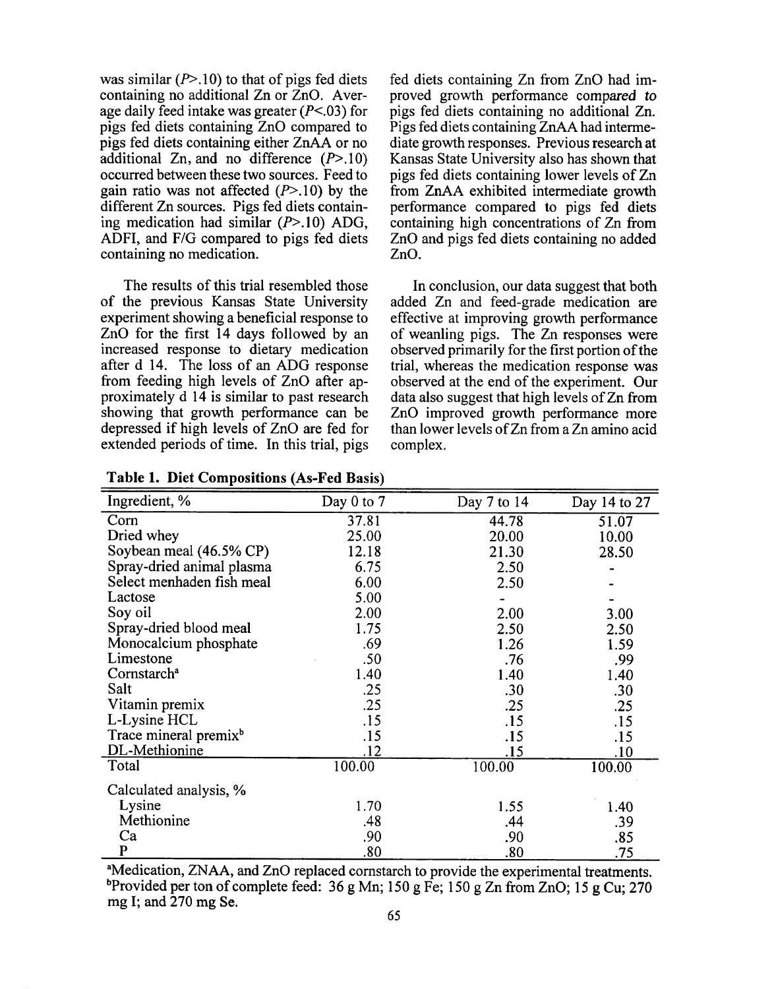was similar  $(P>10)$  to that of pigs fed diets containing no additional Zn or ZnO. Average daily feed intake was greater  $(P<.03)$  for pigs fed diets containing ZnO compared to pigs fed diets containing either ZnAA or no additional Zn, and no difference  $(P>10)$ occurred between these two sources. Feed to gain ratio was not affected  $(P>10)$  by the different Zn sources. Pigs fed diets containing medication had similar  $(P>10)$  ADG, ADFI, and F/G compared to pigs fed diets containing no medication.

The results of this trial resembled those of the previous Kansas State University experiment showing a beneficial response to ZnO for the first 14 days followed by an increased response to dietary medication after d 14. The loss of an ADG response from feeding high levels of ZnO after approximately d 14 is similar to past research showing that growth performance can be depressed if high levels of ZnO are fed for extended periods of time. In this trial, pigs

fed diets containing Zn from ZnO had improved growth performance compared to pigs fed diets containing no additional Zn. Pigs fed diets containing ZnAA had intermediate growth responses. Previous research at Kansas State University also has shown that pigs fed diets containing lower levels of Zn from ZnAA exhibited intermediate growth performance compared to pigs fed diets containing high concentrations of Zn from ZnO and pigs fed diets containing no added ZnO.

In conclusion, our data suggest that both added Zn and feed-grade medication are effective at improving growth performance of weanling pigs. The Zn responses were observed primarily for the first portion of the trial, whereas the medication response was observed at the end of the experiment. Our data also suggest that high levels of Zn from ZnO improved growth performance more than lower levels of Zn from a Zn amino acid complex.

| Ingredient, %                     | Day 0 to $7$ | Day 7 to 14 | Day 14 to 27 |
|-----------------------------------|--------------|-------------|--------------|
| Corn                              | 37.81        | 44.78       | 51.07        |
| Dried whey                        | 25.00        | 20.00       | 10.00        |
| Soybean meal (46.5% CP)           | 12.18        | 21.30       | 28.50        |
| Spray-dried animal plasma         | 6.75         | 2.50        |              |
| Select menhaden fish meal         | 6.00         | 2.50        |              |
| Lactose                           | 5.00         |             |              |
| Soy oil                           | 2.00         | 2.00        | 3.00         |
| Spray-dried blood meal            | 1.75         | 2.50        | 2.50         |
| Monocalcium phosphate             | .69          | 1.26        | 1.59         |
| Limestone                         | .50          | .76         | .99          |
| Cornstarch <sup>a</sup>           | 1.40         | 1.40        | 1.40         |
| Salt                              | .25          | .30         | .30          |
| Vitamin premix                    | .25          | .25         | .25          |
| L-Lysine HCL                      | .15          | .15         | .15          |
| Trace mineral premix <sup>b</sup> | .15          | .15         | .15          |
| DL-Methionine                     | .12          | .15         | <u>.10</u>   |
| Total                             | 100.00       | 100.00      | 100.00       |
| Calculated analysis, %            |              |             |              |
| Lysine                            | 1.70         | 1.55        | 1.40         |
| Methionine                        | .48          | .44         | .39          |
| Ca                                | .90          | .90         | .85          |
| $\mathbf{P}$                      | .80          | .80         | .75          |

**Table 1. Diet Compositions (As-Fed Basis)** 

<sup>a</sup>Medication, ZNAA, and ZnO replaced cornstarch to provide the experimental treatments. <sup>b</sup>Provided per ton of complete feed: 36 g Mn; 150 g Fe; 150 g Zn from ZnO; 15 g Cu; 270 mg I; and 270 mg Se.